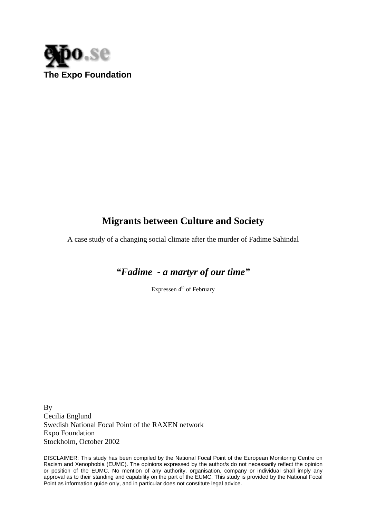

# **Migrants between Culture and Society**

A case study of a changing social climate after the murder of Fadime Sahindal

*"Fadime - a martyr of our time"* 

Expressen  $4<sup>th</sup>$  of February

By Cecilia Englund Swedish National Focal Point of the RAXEN network Expo Foundation Stockholm, October 2002

DISCLAIMER: This study has been compiled by the National Focal Point of the European Monitoring Centre on Racism and Xenophobia (EUMC). The opinions expressed by the author/s do not necessarily reflect the opinion or position of the EUMC. No mention of any authority, organisation, company or individual shall imply any approval as to their standing and capability on the part of the EUMC. This study is provided by the National Focal Point as information guide only, and in particular does not constitute legal advice.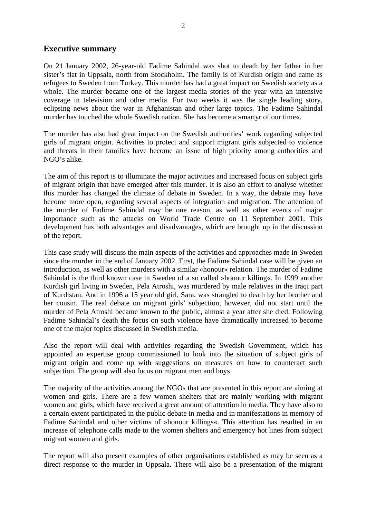# **Executive summary**

On 21 January 2002, 26-year-old Fadime Sahindal was shot to death by her father in her sister's flat in Uppsala, north from Stockholm. The family is of Kurdish origin and came as refugees to Sweden from Turkey. This murder has had a great impact on Swedish society as a whole. The murder became one of the largest media stories of the year with an intensive coverage in television and other media. For two weeks it was the single leading story, eclipsing news about the war in Afghanistan and other large topics. The Fadime Sahindal murder has touched the whole Swedish nation. She has become a »martyr of our time«.

The murder has also had great impact on the Swedish authorities' work regarding subjected girls of migrant origin. Activities to protect and support migrant girls subjected to violence and threats in their families have become an issue of high priority among authorities and NGO's alike.

The aim of this report is to illuminate the major activities and increased focus on subject girls of migrant origin that have emerged after this murder. It is also an effort to analyse whether this murder has changed the climate of debate in Sweden. In a way, the debate may have become more open, regarding several aspects of integration and migration. The attention of the murder of Fadime Sahindal may be one reason, as well as other events of major importance such as the attacks on World Trade Centre on 11 September 2001. This development has both advantages and disadvantages, which are brought up in the discussion of the report.

This case study will discuss the main aspects of the activities and approaches made in Sweden since the murder in the end of January 2002. First, the Fadime Sahindal case will be given an introduction, as well as other murders with a similar »honour« relation. The murder of Fadime Sahindal is the third known case in Sweden of a so called »honour killing«. In 1999 another Kurdish girl living in Sweden, Pela Atroshi, was murdered by male relatives in the Iraqi part of Kurdistan. And in 1996 a 15 year old girl, Sara, was strangled to death by her brother and her cousin. The real debate on migrant girls' subjection, however, did not start until the murder of Pela Atroshi became known to the public, almost a year after she died. Following Fadime Sahindal's death the focus on such violence have dramatically increased to become one of the major topics discussed in Swedish media.

Also the report will deal with activities regarding the Swedish Government, which has appointed an expertise group commissioned to look into the situation of subject girls of migrant origin and come up with suggestions on measures on how to counteract such subjection. The group will also focus on migrant men and boys.

The majority of the activities among the NGOs that are presented in this report are aiming at women and girls. There are a few women shelters that are mainly working with migrant women and girls, which have received a great amount of attention in media. They have also to a certain extent participated in the public debate in media and in manifestations in memory of Fadime Sahindal and other victims of »honour killings«. This attention has resulted in an increase of telephone calls made to the women shelters and emergency hot lines from subject migrant women and girls.

The report will also present examples of other organisations established as may be seen as a direct response to the murder in Uppsala. There will also be a presentation of the migrant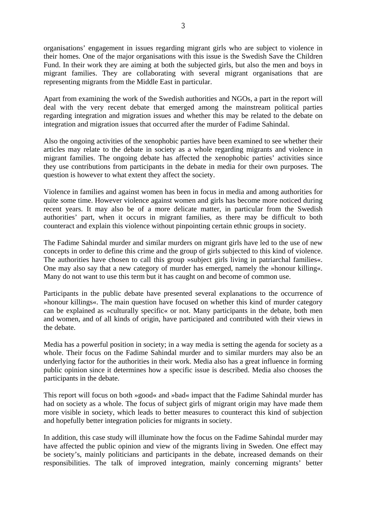organisations' engagement in issues regarding migrant girls who are subject to violence in their homes. One of the major organisations with this issue is the Swedish Save the Children Fund. In their work they are aiming at both the subjected girls, but also the men and boys in migrant families. They are collaborating with several migrant organisations that are representing migrants from the Middle East in particular.

Apart from examining the work of the Swedish authorities and NGOs, a part in the report will deal with the very recent debate that emerged among the mainstream political parties regarding integration and migration issues and whether this may be related to the debate on integration and migration issues that occurred after the murder of Fadime Sahindal.

Also the ongoing activities of the xenophobic parties have been examined to see whether their articles may relate to the debate in society as a whole regarding migrants and violence in migrant families. The ongoing debate has affected the xenophobic parties' activities since they use contributions from participants in the debate in media for their own purposes. The question is however to what extent they affect the society.

Violence in families and against women has been in focus in media and among authorities for quite some time. However violence against women and girls has become more noticed during recent years. It may also be of a more delicate matter, in particular from the Swedish authorities' part, when it occurs in migrant families, as there may be difficult to both counteract and explain this violence without pinpointing certain ethnic groups in society.

The Fadime Sahindal murder and similar murders on migrant girls have led to the use of new concepts in order to define this crime and the group of girls subjected to this kind of violence. The authorities have chosen to call this group »subject girls living in patriarchal families«. One may also say that a new category of murder has emerged, namely the »honour killing«. Many do not want to use this term but it has caught on and become of common use.

Participants in the public debate have presented several explanations to the occurrence of »honour killings«. The main question have focused on whether this kind of murder category can be explained as »culturally specific« or not. Many participants in the debate, both men and women, and of all kinds of origin, have participated and contributed with their views in the debate.

Media has a powerful position in society; in a way media is setting the agenda for society as a whole. Their focus on the Fadime Sahindal murder and to similar murders may also be an underlying factor for the authorities in their work. Media also has a great influence in forming public opinion since it determines how a specific issue is described. Media also chooses the participants in the debate.

This report will focus on both »good« and »bad« impact that the Fadime Sahindal murder has had on society as a whole. The focus of subject girls of migrant origin may have made them more visible in society, which leads to better measures to counteract this kind of subjection and hopefully better integration policies for migrants in society.

In addition, this case study will illuminate how the focus on the Fadime Sahindal murder may have affected the public opinion and view of the migrants living in Sweden. One effect may be society's, mainly politicians and participants in the debate, increased demands on their responsibilities. The talk of improved integration, mainly concerning migrants' better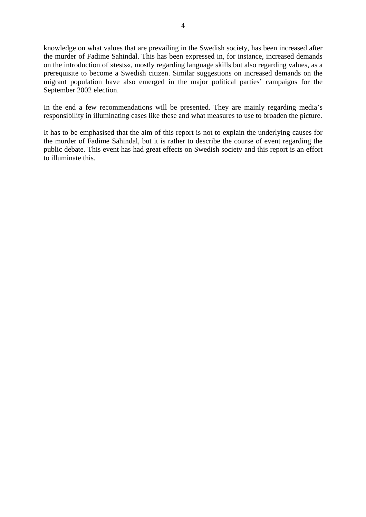knowledge on what values that are prevailing in the Swedish society, has been increased after the murder of Fadime Sahindal. This has been expressed in, for instance, increased demands on the introduction of »tests«, mostly regarding language skills but also regarding values, as a prerequisite to become a Swedish citizen. Similar suggestions on increased demands on the migrant population have also emerged in the major political parties' campaigns for the September 2002 election.

In the end a few recommendations will be presented. They are mainly regarding media's responsibility in illuminating cases like these and what measures to use to broaden the picture.

It has to be emphasised that the aim of this report is not to explain the underlying causes for the murder of Fadime Sahindal, but it is rather to describe the course of event regarding the public debate. This event has had great effects on Swedish society and this report is an effort to illuminate this.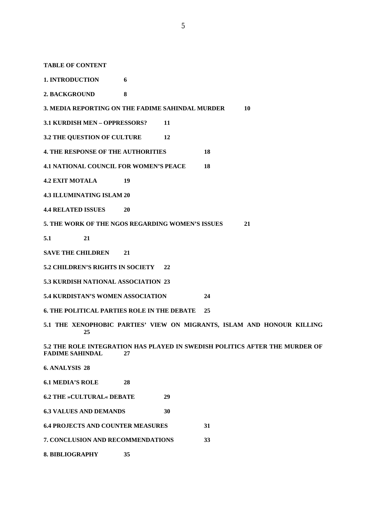**TABLE OF CONTENT** 

**1. INTRODUCTION 6** 

**2. BACKGROUND 8** 

**3. MEDIA REPORTING ON THE FADIME SAHINDAL MURDER 10** 

**3.1 KURDISH MEN – OPPRESSORS? 11** 

**3.2 THE QUESTION OF CULTURE 12** 

**4. THE RESPONSE OF THE AUTHORITIES 18** 

**4.1 NATIONAL COUNCIL FOR WOMEN'S PEACE 18** 

**4.2 EXIT MOTALA 19** 

**4.3 ILLUMINATING ISLAM 20** 

**4.4 RELATED ISSUES 20** 

**5. THE WORK OF THE NGOS REGARDING WOMEN'S ISSUES 21** 

**5.1 21** 

**SAVE THE CHILDREN 21** 

**5.2 CHILDREN'S RIGHTS IN SOCIETY 22** 

**5.3 KURDISH NATIONAL ASSOCIATION 23** 

**5.4 KURDISTAN'S WOMEN ASSOCIATION 24** 

**6. THE POLITICAL PARTIES ROLE IN THE DEBATE 25** 

**5.1 THE XENOPHOBIC PARTIES' VIEW ON MIGRANTS, ISLAM AND HONOUR KILLING 25** 

**5.2 THE ROLE INTEGRATION HAS PLAYED IN SWEDISH POLITICS AFTER THE MURDER OF FADIME SAHINDAL 27** 

**6. ANALYSIS 28** 

**6.1 MEDIA'S ROLE 28** 

**6.2 THE »CULTURAL« DEBATE 29** 

**6.3 VALUES AND DEMANDS 30** 

**6.4 PROJECTS AND COUNTER MEASURES 31** 

**7. CONCLUSION AND RECOMMENDATIONS 33** 

**8. BIBLIOGRAPHY 35**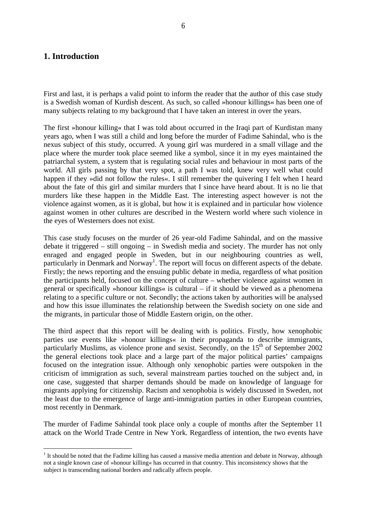# **1. Introduction**

 $\overline{a}$ 

First and last, it is perhaps a valid point to inform the reader that the author of this case study is a Swedish woman of Kurdish descent. As such, so called »honour killings« has been one of many subjects relating to my background that I have taken an interest in over the years.

The first »honour killing« that I was told about occurred in the Iraqi part of Kurdistan many years ago, when I was still a child and long before the murder of Fadime Sahindal, who is the nexus subject of this study, occurred. A young girl was murdered in a small village and the place where the murder took place seemed like a symbol, since it in my eyes maintained the patriarchal system, a system that is regulating social rules and behaviour in most parts of the world. All girls passing by that very spot, a path I was told, knew very well what could happen if they »did not follow the rules«. I still remember the quivering I felt when I heard about the fate of this girl and similar murders that I since have heard about. It is no lie that murders like these happen in the Middle East. The interesting aspect however is not the violence against women, as it is global, but how it is explained and in particular how violence against women in other cultures are described in the Western world where such violence in the eyes of Westerners does not exist.

This case study focuses on the murder of 26 year-old Fadime Sahindal, and on the massive debate it triggered – still ongoing – in Swedish media and society. The murder has not only enraged and engaged people in Sweden, but in our neighbouring countries as well, particularly in Denmark and Norway<sup>1</sup>. The report will focus on different aspects of the debate. Firstly; the news reporting and the ensuing public debate in media, regardless of what position the participants held, focused on the concept of culture – whether violence against women in general or specifically »honour killings« is cultural – if it should be viewed as a phenomena relating to a specific culture or not. Secondly; the actions taken by authorities will be analysed and how this issue illuminates the relationship between the Swedish society on one side and the migrants, in particular those of Middle Eastern origin, on the other.

The third aspect that this report will be dealing with is politics. Firstly, how xenophobic parties use events like »honour killings« in their propaganda to describe immigrants, particularly Muslims, as violence prone and sexist. Secondly, on the  $15<sup>th</sup>$  of September 2002 the general elections took place and a large part of the major political parties' campaigns focused on the integration issue. Although only xenophobic parties were outspoken in the criticism of immigration as such, several mainstream parties touched on the subject and, in one case, suggested that sharper demands should be made on knowledge of language for migrants applying for citizenship. Racism and xenophobia is widely discussed in Sweden, not the least due to the emergence of large anti-immigration parties in other European countries, most recently in Denmark.

The murder of Fadime Sahindal took place only a couple of months after the September 11 attack on the World Trade Centre in New York. Regardless of intention, the two events have

 $1$  It should be noted that the Fadime killing has caused a massive media attention and debate in Norway, although not a single known case of »honour killing« has occurred in that country. This inconsistency shows that the subject is transcending national borders and radically affects people.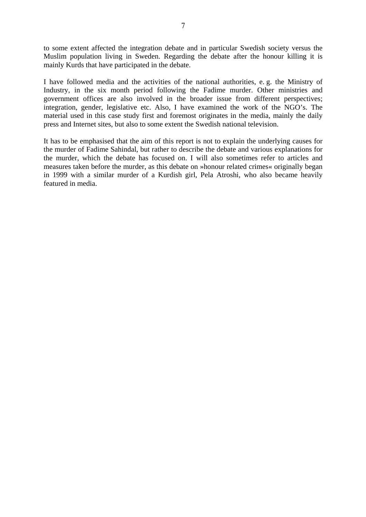to some extent affected the integration debate and in particular Swedish society versus the Muslim population living in Sweden. Regarding the debate after the honour killing it is mainly Kurds that have participated in the debate.

I have followed media and the activities of the national authorities, e. g. the Ministry of Industry, in the six month period following the Fadime murder. Other ministries and government offices are also involved in the broader issue from different perspectives; integration, gender, legislative etc. Also, I have examined the work of the NGO's. The material used in this case study first and foremost originates in the media, mainly the daily press and Internet sites, but also to some extent the Swedish national television.

It has to be emphasised that the aim of this report is not to explain the underlying causes for the murder of Fadime Sahindal, but rather to describe the debate and various explanations for the murder, which the debate has focused on. I will also sometimes refer to articles and measures taken before the murder, as this debate on »honour related crimes« originally began in 1999 with a similar murder of a Kurdish girl, Pela Atroshi, who also became heavily featured in media.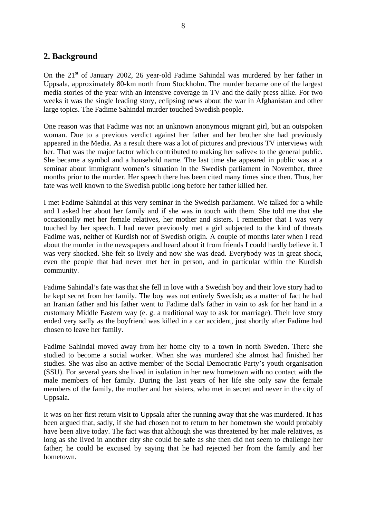# **2. Background**

On the  $21<sup>st</sup>$  of January 2002, 26 year-old Fadime Sahindal was murdered by her father in Uppsala, approximately 80-km north from Stockholm. The murder became one of the largest media stories of the year with an intensive coverage in TV and the daily press alike. For two weeks it was the single leading story, eclipsing news about the war in Afghanistan and other large topics. The Fadime Sahindal murder touched Swedish people.

One reason was that Fadime was not an unknown anonymous migrant girl, but an outspoken woman. Due to a previous verdict against her father and her brother she had previously appeared in the Media. As a result there was a lot of pictures and previous TV interviews with her. That was the major factor which contributed to making her »alive« to the general public. She became a symbol and a household name. The last time she appeared in public was at a seminar about immigrant women's situation in the Swedish parliament in November, three months prior to the murder. Her speech there has been cited many times since then. Thus, her fate was well known to the Swedish public long before her father killed her.

I met Fadime Sahindal at this very seminar in the Swedish parliament. We talked for a while and I asked her about her family and if she was in touch with them. She told me that she occasionally met her female relatives, her mother and sisters. I remember that I was very touched by her speech. I had never previously met a girl subjected to the kind of threats Fadime was, neither of Kurdish nor of Swedish origin. A couple of months later when I read about the murder in the newspapers and heard about it from friends I could hardly believe it. I was very shocked. She felt so lively and now she was dead. Everybody was in great shock, even the people that had never met her in person, and in particular within the Kurdish community.

Fadime Sahindal's fate was that she fell in love with a Swedish boy and their love story had to be kept secret from her family. The boy was not entirely Swedish; as a matter of fact he had an Iranian father and his father went to Fadime dal's father in vain to ask for her hand in a customary Middle Eastern way (e. g. a traditional way to ask for marriage). Their love story ended very sadly as the boyfriend was killed in a car accident, just shortly after Fadime had chosen to leave her family.

Fadime Sahindal moved away from her home city to a town in north Sweden. There she studied to become a social worker. When she was murdered she almost had finished her studies. She was also an active member of the Social Democratic Party's youth organisation (SSU). For several years she lived in isolation in her new hometown with no contact with the male members of her family. During the last years of her life she only saw the female members of the family, the mother and her sisters, who met in secret and never in the city of Uppsala.

It was on her first return visit to Uppsala after the running away that she was murdered. It has been argued that, sadly, if she had chosen not to return to her hometown she would probably have been alive today. The fact was that although she was threatened by her male relatives, as long as she lived in another city she could be safe as she then did not seem to challenge her father; he could be excused by saying that he had rejected her from the family and her hometown.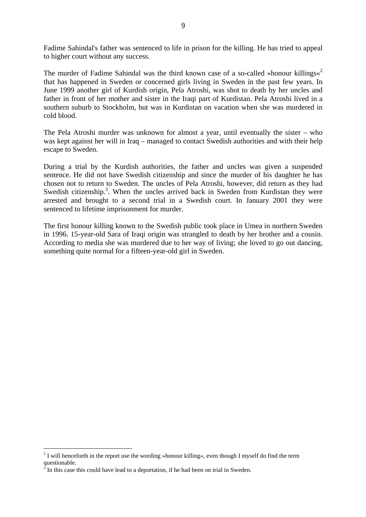Fadime Sahindal's father was sentenced to life in prison for the killing. He has tried to appeal to higher court without any success.

The murder of Fadime Sahindal was the third known case of a so-called »honour killings«<sup>2</sup> that has happened in Sweden or concerned girls living in Sweden in the past few years. In June 1999 another girl of Kurdish origin, Pela Atroshi, was shot to death by her uncles and father in front of her mother and sister in the Iraqi part of Kurdistan. Pela Atroshi lived in a southern suburb to Stockholm, but was in Kurdistan on vacation when she was murdered in cold blood.

The Pela Atroshi murder was unknown for almost a year, until eventually the sister – who was kept against her will in Iraq – managed to contact Swedish authorities and with their help escape to Sweden.

During a trial by the Kurdish authorities, the father and uncles was given a suspended sentence. He did not have Swedish citizenship and since the murder of his daughter he has chosen not to return to Sweden. The uncles of Pela Atroshi, however, did return as they had Swedish citizenship.<sup>3</sup>. When the uncles arrived back in Sweden from Kurdistan they were arrested and brought to a second trial in a Swedish court. In January 2001 they were sentenced to lifetime imprisonment for murder.

The first honour killing known to the Swedish public took place in Umea in northern Sweden in 1996. 15-year-old Sara of Iraqi origin was strangled to death by her brother and a cousin. According to media she was murdered due to her way of living; she loved to go out dancing, something quite normal for a fifteen-year-old girl in Sweden.

<sup>&</sup>lt;sup>2</sup> I will henceforth in the report use the wording »honour killing«, even though I myself do find the term questionable.

 $3^3$  In this case this could have lead to a deportation, if he had been on trial in Sweden.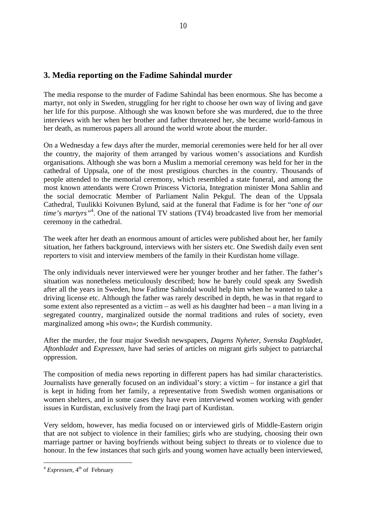# **3. Media reporting on the Fadime Sahindal murder**

The media response to the murder of Fadime Sahindal has been enormous. She has become a martyr, not only in Sweden, struggling for her right to choose her own way of living and gave her life for this purpose. Although she was known before she was murdered, due to the three interviews with her when her brother and father threatened her, she became world-famous in her death, as numerous papers all around the world wrote about the murder.

On a Wednesday a few days after the murder, memorial ceremonies were held for her all over the country, the majority of them arranged by various women's associations and Kurdish organisations. Although she was born a Muslim a memorial ceremony was held for her in the cathedral of Uppsala, one of the most prestigious churches in the country. Thousands of people attended to the memorial ceremony, which resembled a state funeral, and among the most known attendants were Crown Princess Victoria, Integration minister Mona Sahlin and the social democratic Member of Parliament Nalin Pekgul. The dean of the Uppsala Cathedral, Tuulikki Koivunen Bylund, said at the funeral that Fadime is for her "*one of our time's martyrs"*<sup>4</sup> . One of the national TV stations (TV4) broadcasted live from her memorial ceremony in the cathedral.

The week after her death an enormous amount of articles were published about her, her family situation, her fathers background, interviews with her sisters etc. One Swedish daily even sent reporters to visit and interview members of the family in their Kurdistan home village.

The only individuals never interviewed were her younger brother and her father. The father's situation was nonetheless meticulously described; how he barely could speak any Swedish after all the years in Sweden, how Fadime Sahindal would help him when he wanted to take a driving license etc. Although the father was rarely described in depth, he was in that regard to some extent also represented as a victim – as well as his daughter had been – a man living in a segregated country, marginalized outside the normal traditions and rules of society, even marginalized among »his own«; the Kurdish community.

After the murder, the four major Swedish newspapers, *Dagens Nyheter*, *Svenska Dagbladet*, *Aftonbladet* and *Expressen*, have had series of articles on migrant girls subject to patriarchal oppression.

The composition of media news reporting in different papers has had similar characteristics. Journalists have generally focused on an individual's story: a victim – for instance a girl that is kept in hiding from her family, a representative from Swedish women organisations or women shelters, and in some cases they have even interviewed women working with gender issues in Kurdistan, exclusively from the Iraqi part of Kurdistan.

Very seldom, however, has media focused on or interviewed girls of Middle-Eastern origin that are not subject to violence in their families; girls who are studying, choosing their own marriage partner or having boyfriends without being subject to threats or to violence due to honour. In the few instances that such girls and young women have actually been interviewed,

 $\overline{a}$ <sup>4</sup> *Expressen*, 4<sup>th</sup> of February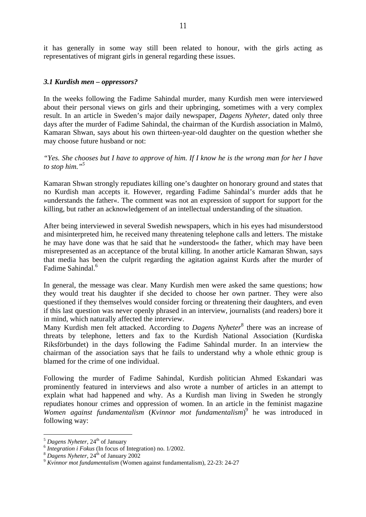it has generally in some way still been related to honour, with the girls acting as representatives of migrant girls in general regarding these issues.

#### *3.1 Kurdish men – oppressors?*

In the weeks following the Fadime Sahindal murder, many Kurdish men were interviewed about their personal views on girls and their upbringing, sometimes with a very complex result. In an article in Sweden's major daily newspaper, *Dagens Nyheter*, dated only three days after the murder of Fadime Sahindal, the chairman of the Kurdish association in Malmö, Kamaran Shwan, says about his own thirteen-year-old daughter on the question whether she may choose future husband or not:

*"Yes. She chooses but I have to approve of him. If I know he is the wrong man for her I have to stop him."5*

Kamaran Shwan strongly repudiates killing one's daughter on honorary ground and states that no Kurdish man accepts it. However, regarding Fadime Sahindal's murder adds that he »understands the father«. The comment was not an expression of support for support for the killing, but rather an acknowledgement of an intellectual understanding of the situation.

After being interviewed in several Swedish newspapers, which in his eyes had misunderstood and misinterpreted him, he received many threatening telephone calls and letters. The mistake he may have done was that he said that he »understood« the father, which may have been misrepresented as an acceptance of the brutal killing. In another article Kamaran Shwan, says that media has been the culprit regarding the agitation against Kurds after the murder of Fadime Sahindal.<sup>6</sup>

In general, the message was clear. Many Kurdish men were asked the same questions; how they would treat his daughter if she decided to choose her own partner. They were also questioned if they themselves would consider forcing or threatening their daughters, and even if this last question was never openly phrased in an interview, journalists (and readers) bore it in mind, which naturally affected the interview.

Many Kurdish men felt attacked. According to *Dagens Nyheter<sup>8</sup>* there was an increase of threats by telephone, letters and fax to the Kurdish National Association (Kurdiska Riksförbundet) in the days following the Fadime Sahindal murder. In an interview the chairman of the association says that he fails to understand why a whole ethnic group is blamed for the crime of one individual.

Following the murder of Fadime Sahindal, Kurdish politician Ahmed Eskandari was prominently featured in interviews and also wrote a number of articles in an attempt to explain what had happened and why. As a Kurdish man living in Sweden he strongly repudiates honour crimes and oppression of women. In an article in the feminist magazine *Women against fundamentalism* (*Kvinnor mot fundamentalism*) 9 he was introduced in following way:

<sup>&</sup>lt;sup>5</sup> Dagens Nyheter,  $24^{th}$  of January<br><sup>6</sup> Integration *i* Fokus (In focus of Integration) no. 1/2002.

*Integration i Fokus* (In focus of Integration) no. 1/2002. 8 *Dagens Nyheter*, 24th of January 2002 9 *Kvinnor mot fundamentalism* (Women against fundamentalism), 22-23: 24-27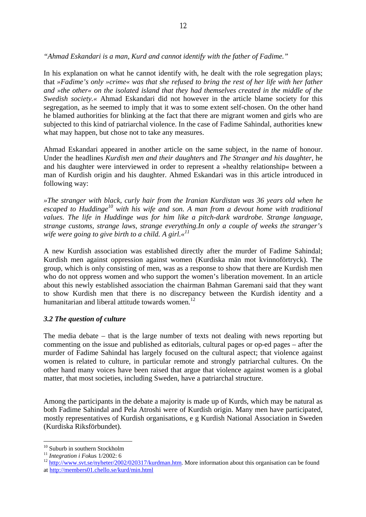*"Ahmad Eskandari is a man, Kurd and cannot identify with the father of Fadime."* 

In his explanation on what he cannot identify with, he dealt with the role segregation plays; that *»Fadime's only »crime« was that she refused to bring the rest of her life with her father and »the other« on the isolated island that they had themselves created in the middle of the Swedish society.«* Ahmad Eskandari did not however in the article blame society for this segregation, as he seemed to imply that it was to some extent self-chosen. On the other hand he blamed authorities for blinking at the fact that there are migrant women and girls who are subjected to this kind of patriarchal violence. In the case of Fadime Sahindal, authorities knew what may happen, but chose not to take any measures.

Ahmad Eskandari appeared in another article on the same subject, in the name of honour. Under the headlines *Kurdish men and their daughter*s and *The Stranger and his daughter*, he and his daughter were interviewed in order to represent a »healthy relationship« between a man of Kurdish origin and his daughter. Ahmed Eskandari was in this article introduced in following way:

*»The stranger with black, curly hair from the Iranian Kurdistan was 36 years old when he escaped to Huddinge10 with his wife and son. A man from a devout home with traditional values. The life in Huddinge was for him like a pitch-dark wardrobe. Strange language, strange customs, strange laws, strange everything.In only a couple of weeks the stranger's wife were going to give birth to a child. A girl.«11*

A new Kurdish association was established directly after the murder of Fadime Sahindal; Kurdish men against oppression against women (Kurdiska män mot kvinnoförtryck). The group, which is only consisting of men, was as a response to show that there are Kurdish men who do not oppress women and who support the women's liberation movement. In an article about this newly established association the chairman Bahman Garemani said that they want to show Kurdish men that there is no discrepancy between the Kurdish identity and a humanitarian and liberal attitude towards women.<sup>12</sup>

# *3.2 The question of culture*

The media debate – that is the large number of texts not dealing with news reporting but commenting on the issue and published as editorials, cultural pages or op-ed pages – after the murder of Fadime Sahindal has largely focused on the cultural aspect; that violence against women is related to culture, in particular remote and strongly patriarchal cultures. On the other hand many voices have been raised that argue that violence against women is a global matter, that most societies, including Sweden, have a patriarchal structure.

Among the participants in the debate a majority is made up of Kurds, which may be natural as both Fadime Sahindal and Pela Atroshi were of Kurdish origin. Many men have participated, mostly representatives of Kurdish organisations, e g Kurdish National Association in Sweden (Kurdiska Riksförbundet).

<sup>&</sup>lt;sup>10</sup> Suburb in southern Stockholm

<sup>&</sup>lt;sup>11</sup> *Integration i Fokus* 1/2002: 6<br><sup>12</sup> http://www.svt.se/nyheter/2002/020317/kurdman.htm. More information about this organisation can be found at http://members01.chello.se/kurd/min.html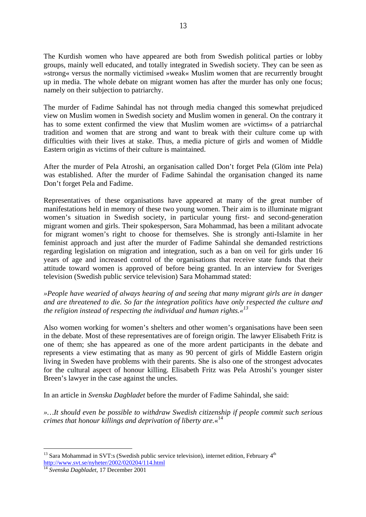The Kurdish women who have appeared are both from Swedish political parties or lobby groups, mainly well educated, and totally integrated in Swedish society. They can be seen as »strong« versus the normally victimised »weak« Muslim women that are recurrently brought up in media. The whole debate on migrant women has after the murder has only one focus; namely on their subjection to patriarchy.

The murder of Fadime Sahindal has not through media changed this somewhat prejudiced view on Muslim women in Swedish society and Muslim women in general. On the contrary it has to some extent confirmed the view that Muslim women are »victims« of a patriarchal tradition and women that are strong and want to break with their culture come up with difficulties with their lives at stake. Thus, a media picture of girls and women of Middle Eastern origin as victims of their culture is maintained.

After the murder of Pela Atroshi, an organisation called Don't forget Pela (Glöm inte Pela) was established. After the murder of Fadime Sahindal the organisation changed its name Don't forget Pela and Fadime.

Representatives of these organisations have appeared at many of the great number of manifestations held in memory of these two young women. Their aim is to illuminate migrant women's situation in Swedish society, in particular young first- and second-generation migrant women and girls. Their spokesperson, Sara Mohammad, has been a militant advocate for migrant women's right to choose for themselves. She is strongly anti-Islamite in her feminist approach and just after the murder of Fadime Sahindal she demanded restrictions regarding legislation on migration and integration, such as a ban on veil for girls under 16 years of age and increased control of the organisations that receive state funds that their attitude toward women is approved of before being granted. In an interview for Sveriges television (Swedish public service television) Sara Mohammad stated:

*»People have wearied of always hearing of and seeing that many migrant girls are in danger and are threatened to die. So far the integration politics have only respected the culture and the religion instead of respecting the individual and human rights.«13*

Also women working for women's shelters and other women's organisations have been seen in the debate. Most of these representatives are of foreign origin. The lawyer Elisabeth Fritz is one of them; she has appeared as one of the more ardent participants in the debate and represents a view estimating that as many as 90 percent of girls of Middle Eastern origin living in Sweden have problems with their parents. She is also one of the strongest advocates for the cultural aspect of honour killing. Elisabeth Fritz was Pela Atroshi's younger sister Breen's lawyer in the case against the uncles.

In an article in *Svenska Dagbladet* before the murder of Fadime Sahindal, she said:

*»…It should even be possible to withdraw Swedish citizenship if people commit such serious crimes that honour killings and deprivation of liberty are.*« 14

 $13$  Sara Mohammad in SVT:s (Swedish public service television), internet edition, February  $4<sup>th</sup>$ http://www.svt.se/nyheter/2002/020204/114.html

<sup>14</sup> *Svenska Dagbladet*, 17 December 2001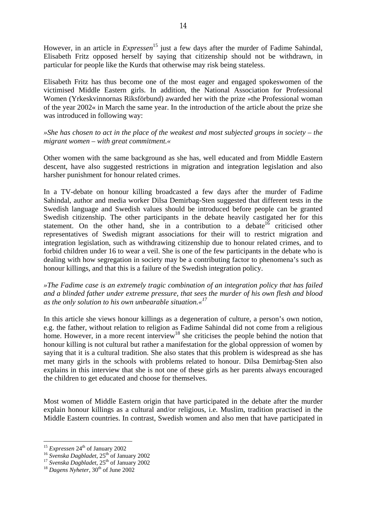However, in an article in *Expressen*<sup>15</sup> just a few days after the murder of Fadime Sahindal, Elisabeth Fritz opposed herself by saying that citizenship should not be withdrawn, in particular for people like the Kurds that otherwise may risk being stateless.

Elisabeth Fritz has thus become one of the most eager and engaged spokeswomen of the victimised Middle Eastern girls. In addition, the National Association for Professional Women (Yrkeskvinnornas Riksförbund) awarded her with the prize »the Professional woman of the year 2002« in March the same year. In the introduction of the article about the prize she was introduced in following way:

*»She has chosen to act in the place of the weakest and most subjected groups in society – the migrant women – with great commitment.«* 

Other women with the same background as she has, well educated and from Middle Eastern descent, have also suggested restrictions in migration and integration legislation and also harsher punishment for honour related crimes.

In a TV-debate on honour killing broadcasted a few days after the murder of Fadime Sahindal, author and media worker Dilsa Demirbag-Sten suggested that different tests in the Swedish language and Swedish values should be introduced before people can be granted Swedish citizenship. The other participants in the debate heavily castigated her for this statement. On the other hand, she in a contribution to a debate  $16$  criticised other representatives of Swedish migrant associations for their will to restrict migration and integration legislation, such as withdrawing citizenship due to honour related crimes, and to forbid children under 16 to wear a veil. She is one of the few participants in the debate who is dealing with how segregation in society may be a contributing factor to phenomena's such as honour killings, and that this is a failure of the Swedish integration policy.

*»The Fadime case is an extremely tragic combination of an integration policy that has failed and a blinded father under extreme pressure, that sees the murder of his own flesh and blood as the only solution to his own unbearable situation.«17*

In this article she views honour killings as a degeneration of culture, a person's own notion, e.g. the father, without relation to religion as Fadime Sahindal did not come from a religious home. However, in a more recent interview<sup>18</sup> she criticises the people behind the notion that honour killing is not cultural but rather a manifestation for the global oppression of women by saying that it is a cultural tradition. She also states that this problem is widespread as she has met many girls in the schools with problems related to honour. Dilsa Demirbag-Sten also explains in this interview that she is not one of these girls as her parents always encouraged the children to get educated and choose for themselves.

Most women of Middle Eastern origin that have participated in the debate after the murder explain honour killings as a cultural and/or religious, i.e. Muslim, tradition practised in the Middle Eastern countries. In contrast, Swedish women and also men that have participated in

<sup>&</sup>lt;sup>15</sup> Expressen  $24<sup>th</sup>$  of January 2002

<sup>&</sup>lt;sup>16</sup> *Svenska Dagbladet*, 25<sup>th</sup> of January 2002<br><sup>17</sup> *Svenska Dagbladet*, 25<sup>th</sup> of January 2002<br><sup>18</sup> *Dagens Nyheter*, 30<sup>th</sup> of June 2002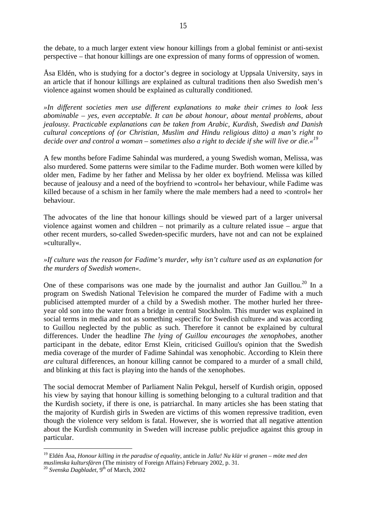the debate, to a much larger extent view honour killings from a global feminist or anti-sexist perspective – that honour killings are one expression of many forms of oppression of women.

Åsa Eldén, who is studying for a doctor's degree in sociology at Uppsala University, says in an article that if honour killings are explained as cultural traditions then also Swedish men's violence against women should be explained as culturally conditioned.

*»In different societies men use different explanations to make their crimes to look less abominable – yes, even acceptable. It can be about honour, about mental problems, about jealousy. Practicable explanations can be taken from Arabic, Kurdish, Swedish and Danish cultural conceptions of (or Christian, Muslim and Hindu religious ditto) a man's right to decide over and control a woman – sometimes also a right to decide if she will live or die.«19*

A few months before Fadime Sahindal was murdered, a young Swedish woman, Melissa, was also murdered. Some patterns were similar to the Fadime murder. Both women were killed by older men, Fadime by her father and Melissa by her older ex boyfriend. Melissa was killed because of jealousy and a need of the boyfriend to »control« her behaviour, while Fadime was killed because of a schism in her family where the male members had a need to ›control« her behaviour.

The advocates of the line that honour killings should be viewed part of a larger universal violence against women and children – not primarily as a culture related issue – argue that other recent murders, so-called Sweden-specific murders, have not and can not be explained »culturally«.

# *»If culture was the reason for Fadime's murder, why isn't culture used as an explanation for the murders of Swedish women«.*

One of these comparisons was one made by the journalist and author Jan Guillou.<sup>20</sup> In a program on Swedish National Television he compared the murder of Fadime with a much publicised attempted murder of a child by a Swedish mother. The mother hurled her threeyear old son into the water from a bridge in central Stockholm. This murder was explained in social terms in media and not as something »specific for Swedish culture« and was according to Guillou neglected by the public as such. Therefore it cannot be explained by cultural differences. Under the headline *The lying of Guillou encourages the xenophobes*, another participant in the debate, editor Ernst Klein, criticised Guillou's opinion that the Swedish media coverage of the murder of Fadime Sahindal was xenophobic. According to Klein there *are* cultural differences, an honour killing cannot be compared to a murder of a small child, and blinking at this fact is playing into the hands of the xenophobes.

The social democrat Member of Parliament Nalin Pekgul, herself of Kurdish origin, opposed his view by saying that honour killing is something belonging to a cultural tradition and that the Kurdish society, if there is one, is patriarchal. In many articles she has been stating that the majority of Kurdish girls in Sweden are victims of this women repressive tradition, even though the violence very seldom is fatal. However, she is worried that all negative attention about the Kurdish community in Sweden will increase public prejudice against this group in particular.

<sup>19</sup> Eldén Åsa, *Honour killing in the paradise of equality*, anticle in *Jalla! Nu klär vi granen – möte med den muslimska kultursfären* (The ministry of Foreign Affairs) February 2002, p. 31. 20 *Svenska Dagbladet*, 9th of March, 2002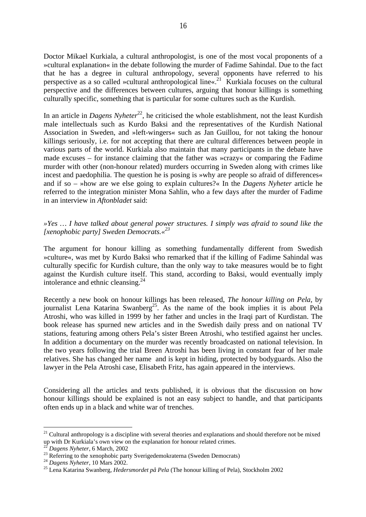Doctor Mikael Kurkiala, a cultural anthropologist, is one of the most vocal proponents of a »cultural explanation« in the debate following the murder of Fadime Sahindal. Due to the fact that he has a degree in cultural anthropology, several opponents have referred to his perspective as a so called »cultural anthropological line«.<sup>21</sup> Kurkiala focuses on the cultural perspective and the differences between cultures, arguing that honour killings is something culturally specific, something that is particular for some cultures such as the Kurdish.

In an article in *Dagens Nyheter*<sup>22</sup>, he criticised the whole establishment, not the least Kurdish male intellectuals such as Kurdo Baksi and the representatives of the Kurdish National Association in Sweden, and »left-wingers« such as Jan Guillou, for not taking the honour killings seriously, i.e. for not accepting that there are cultural differences between people in various parts of the world. Kurkiala also maintain that many participants in the debate have made excuses – for instance claiming that the father was »crazy« or comparing the Fadime murder with other (non-honour related) murders occurring in Sweden along with crimes like incest and paedophilia. The question he is posing is »why are people so afraid of differences« and if so – »how are we else going to explain cultures?« In the *Dagens Nyheter* article he referred to the integration minister Mona Sahlin, who a few days after the murder of Fadime in an interview in *Aftonbladet* said:

### *»Yes … I have talked about general power structures. I simply was afraid to sound like the [xenophobic party] Sweden Democrats.«23*

The argument for honour killing as something fundamentally different from Swedish »culture«, was met by Kurdo Baksi who remarked that if the killing of Fadime Sahindal was culturally specific for Kurdish culture, than the only way to take measures would be to fight against the Kurdish culture itself. This stand, according to Baksi, would eventually imply intolerance and ethnic cleansing.24

Recently a new book on honour killings has been released, *The honour killing on Pela*, by journalist Lena Katarina Swanberg<sup>25</sup>. As the name of the book implies it is about Pela Atroshi, who was killed in 1999 by her father and uncles in the Iraqi part of Kurdistan. The book release has spurned new articles and in the Swedish daily press and on national TV stations, featuring among others Pela's sister Breen Atroshi, who testified against her uncles. In addition a documentary on the murder was recently broadcasted on national television. In the two years following the trial Breen Atroshi has been living in constant fear of her male relatives. She has changed her name and is kept in hiding, protected by bodyguards. Also the lawyer in the Pela Atroshi case, Elisabeth Fritz, has again appeared in the interviews.

Considering all the articles and texts published, it is obvious that the discussion on how honour killings should be explained is not an easy subject to handle, and that participants often ends up in a black and white war of trenches.

 $21$  Cultural anthropology is a discipline with several theories and explanations and should therefore not be mixed up with Dr Kurkiala's own view on the explanation for honour related crimes.

<sup>&</sup>lt;sup>22</sup> *Dagens Nyheter*, 6 March, 2002<br><sup>23</sup> Referring to the xenophobic party Sverigedemokraterna (Sweden Democrats)<br><sup>24</sup> *Dagens Nyheter*, 10 Mars 2002.

<sup>&</sup>lt;sup>25</sup> Lena Katarina Swanberg, *Hedersmordet på Pela* (The honour killing of Pela), Stockholm 2002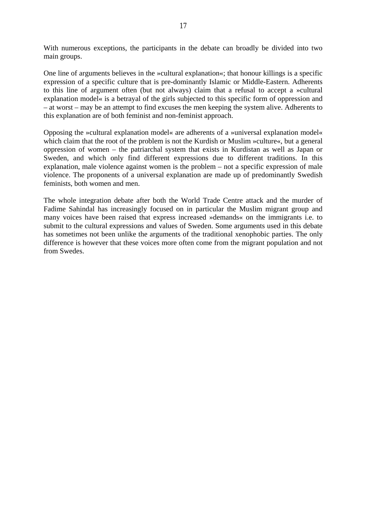With numerous exceptions, the participants in the debate can broadly be divided into two main groups.

One line of arguments believes in the »cultural explanation«; that honour killings is a specific expression of a specific culture that is pre-dominantly Islamic or Middle-Eastern. Adherents to this line of argument often (but not always) claim that a refusal to accept a »cultural explanation model« is a betrayal of the girls subjected to this specific form of oppression and – at worst – may be an attempt to find excuses the men keeping the system alive. Adherents to this explanation are of both feminist and non-feminist approach.

Opposing the »cultural explanation model« are adherents of a »universal explanation model« which claim that the root of the problem is not the Kurdish or Muslim »culture«, but a general oppression of women – the patriarchal system that exists in Kurdistan as well as Japan or Sweden, and which only find different expressions due to different traditions. In this explanation, male violence against women is the problem – not a specific expression of male violence. The proponents of a universal explanation are made up of predominantly Swedish feminists, both women and men.

The whole integration debate after both the World Trade Centre attack and the murder of Fadime Sahindal has increasingly focused on in particular the Muslim migrant group and many voices have been raised that express increased »demands« on the immigrants i.e. to submit to the cultural expressions and values of Sweden. Some arguments used in this debate has sometimes not been unlike the arguments of the traditional xenophobic parties. The only difference is however that these voices more often come from the migrant population and not from Swedes.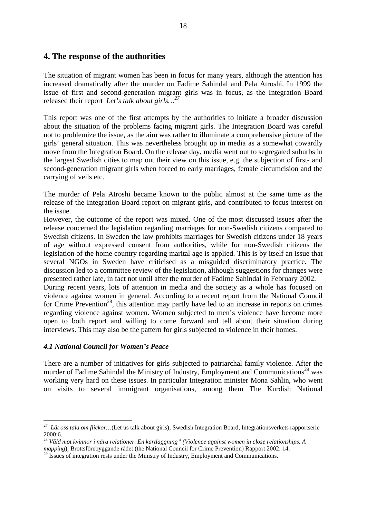# **4. The response of the authorities**

The situation of migrant women has been in focus for many years, although the attention has increased dramatically after the murder on Fadime Sahindal and Pela Atroshi. In 1999 the issue of first and second-generation migrant girls was in focus, as the Integration Board released their report *Let's talk about girls…27*

This report was one of the first attempts by the authorities to initiate a broader discussion about the situation of the problems facing migrant girls. The Integration Board was careful not to problemize the issue, as the aim was rather to illuminate a comprehensive picture of the girls' general situation. This was nevertheless brought up in media as a somewhat cowardly move from the Integration Board. On the release day, media went out to segregated suburbs in the largest Swedish cities to map out their view on this issue, e.g. the subjection of first- and second-generation migrant girls when forced to early marriages, female circumcision and the carrying of veils etc.

The murder of Pela Atroshi became known to the public almost at the same time as the release of the Integration Board-report on migrant girls, and contributed to focus interest on the issue.

However, the outcome of the report was mixed. One of the most discussed issues after the release concerned the legislation regarding marriages for non-Swedish citizens compared to Swedish citizens. In Sweden the law prohibits marriages for Swedish citizens under 18 years of age without expressed consent from authorities, while for non-Swedish citizens the legislation of the home country regarding marital age is applied. This is by itself an issue that several NGOs in Sweden have criticised as a misguided discriminatory practice. The discussion led to a committee review of the legislation, although suggestions for changes were presented rather late, in fact not until after the murder of Fadime Sahindal in February 2002.

During recent years, lots of attention in media and the society as a whole has focused on violence against women in general. According to a recent report from the National Council for Crime Prevention<sup>28</sup>, this attention may partly have led to an increase in reports on crimes regarding violence against women. Women subjected to men's violence have become more open to both report and willing to come forward and tell about their situation during interviews. This may also be the pattern for girls subjected to violence in their homes.

#### *4.1 National Council for Women's Peace*

 $\overline{a}$ 

There are a number of initiatives for girls subjected to patriarchal family violence. After the murder of Fadime Sahindal the Ministry of Industry, Employment and Communications<sup>29</sup> was working very hard on these issues. In particular Integration minister Mona Sahlin, who went on visits to several immigrant organisations, among them The Kurdish National

<sup>27</sup> *Låt oss tala om flickor…*(Let us talk about girls); Swedish Integration Board, Integrationsverkets rapportserie 2000:6.

<sup>28</sup> *Våld mot kvinnor i nära relationer. En kartläggning" (Violence against women in close relationships. A mapping*); Brottsförebyggande rådet (the National Council for Crime Prevention) Rapport 2002: 14.

 $^{29}$  Issues of integration rests under the Ministry of Industry, Employment and Communications.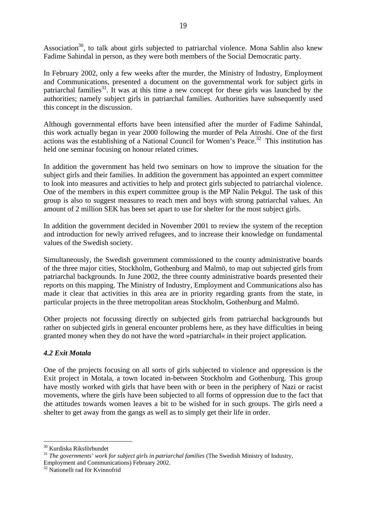Association<sup>30</sup>, to talk about girls subjected to patriarchal violence. Mona Sahlin also knew Fadime Sahindal in person, as they were both members of the Social Democratic party.

In February 2002, only a few weeks after the murder, the Ministry of Industry, Employment and Communications, presented a document on the governmental work for subject girls in patriarchal families $31$ . It was at this time a new concept for these girls was launched by the authorities; namely subject girls in patriarchal families. Authorities have subsequently used this concept in the discussion.

Although governmental efforts have been intensified after the murder of Fadime Sahindal, this work actually began in year 2000 following the murder of Pela Atroshi. One of the first actions was the establishing of a National Council for Women's Peace.<sup>32</sup> This institution has held one seminar focusing on honour related crimes.

In addition the government has held two seminars on how to improve the situation for the subject girls and their families. In addition the government has appointed an expert committee to look into measures and activities to help and protect girls subjected to patriarchal violence. One of the members in this expert committee group is the MP Nalin Pekgul. The task of this group is also to suggest measures to reach men and boys with strong patriarchal values. An amount of 2 million SEK has been set apart to use for shelter for the most subject girls.

In addition the government decided in November 2001 to review the system of the reception and introduction for newly arrived refugees, and to increase their knowledge on fundamental values of the Swedish society.

Simultaneously, the Swedish government commissioned to the county administrative boards of the three major cities, Stockholm, Gothenburg and Malmö, to map out subjected girls from patriarchal backgrounds. In June 2002, the three county administrative boards presented their reports on this mapping. The Ministry of Industry, Employment and Communications also has made it clear that activities in this area are in priority regarding grants from the state, in particular projects in the three metropolitan areas Stockholm, Gothenburg and Malmö.

Other projects not focussing directly on subjected girls from patriarchal backgrounds but rather on subjected girls in general encounter problems here, as they have difficulties in being granted money when they do not have the word »patriarchal« in their project application.

# *4.2 Exit Motala*

One of the projects focusing on all sorts of girls subjected to violence and oppression is the Exit project in Motala, a town located in-between Stockholm and Gothenburg. This group have mostly worked with girls that have been with or been in the periphery of Nazi or racist movements, where the girls have been subjected to all forms of oppression due to the fact that the attitudes towards women leaves a bit to be wished for in such groups. The girls need a shelter to get away from the gangs as well as to simply get their life in order.

<sup>30</sup> Kurdiska Riksförbundet

<sup>31</sup> *The governments' work for subject girls in patriarchal families* (The Swedish Ministry of Industry,

Employment and Communications) February 2002.

<sup>&</sup>lt;sup>32</sup> Nationellt rad för Kvinnofrid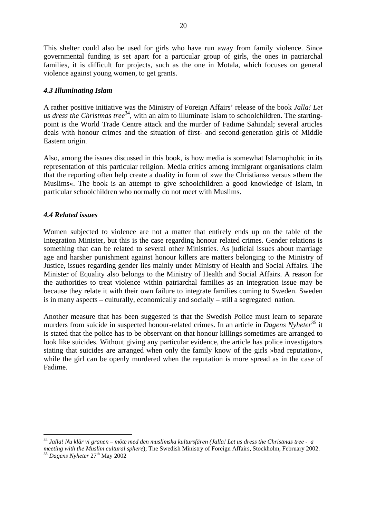This shelter could also be used for girls who have run away from family violence. Since governmental funding is set apart for a particular group of girls, the ones in patriarchal families, it is difficult for projects, such as the one in Motala, which focuses on general violence against young women, to get grants.

#### *4.3 Illuminating Islam*

A rather positive initiative was the Ministry of Foreign Affairs' release of the book *Jalla! Let us dress the Christmas tree*<sup>34</sup>, with an aim to illuminate Islam to schoolchildren. The startingpoint is the World Trade Centre attack and the murder of Fadime Sahindal; several articles deals with honour crimes and the situation of first- and second-generation girls of Middle Eastern origin.

Also, among the issues discussed in this book, is how media is somewhat Islamophobic in its representation of this particular religion. Media critics among immigrant organisations claim that the reporting often help create a duality in form of »we the Christians« versus »them the Muslims«. The book is an attempt to give schoolchildren a good knowledge of Islam, in particular schoolchildren who normally do not meet with Muslims.

# *4.4 Related issues*

Women subjected to violence are not a matter that entirely ends up on the table of the Integration Minister, but this is the case regarding honour related crimes. Gender relations is something that can be related to several other Ministries. As judicial issues about marriage age and harsher punishment against honour killers are matters belonging to the Ministry of Justice, issues regarding gender lies mainly under Ministry of Health and Social Affairs. The Minister of Equality also belongs to the Ministry of Health and Social Affairs. A reason for the authorities to treat violence within patriarchal families as an integration issue may be because they relate it with their own failure to integrate families coming to Sweden. Sweden is in many aspects – culturally, economically and socially – still a segregated nation.

Another measure that has been suggested is that the Swedish Police must learn to separate murders from suicide in suspected honour-related crimes. In an article in *Dagens Nyheter*<sup>35</sup> it is stated that the police has to be observant on that honour killings sometimes are arranged to look like suicides. Without giving any particular evidence, the article has police investigators stating that suicides are arranged when only the family know of the girls »bad reputation«, while the girl can be openly murdered when the reputation is more spread as in the case of Fadime.

 $\overline{a}$ <sup>34</sup> *Jalla! Nu klär vi granen – möte med den muslimska kultursfären (Jalla! Let us dress the Christmas tree - a meeting with the Muslim cultural sphere*); The Swedish Ministry of Foreign Affairs, Stockholm, February 2002.<br><sup>35</sup> *Dagens Nyheter* 27<sup>th</sup> May 2002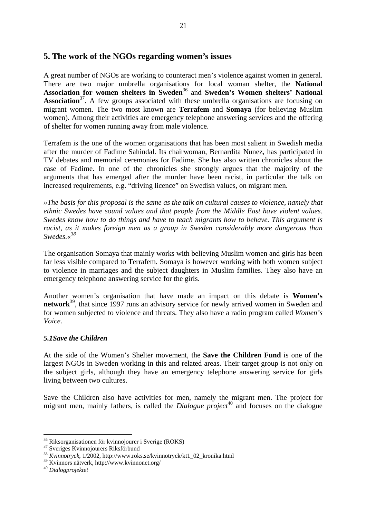# **5. The work of the NGOs regarding women's issues**

A great number of NGOs are working to counteract men's violence against women in general. There are two major umbrella organisations for local woman shelter, the **National**  Association for women shelters in Sweden<sup>36</sup> and Sweden's Women shelters' National **Association**<sup>37</sup>. A few groups associated with these umbrella organisations are focusing on migrant women. The two most known are **Terrafem** and **Somaya** (for believing Muslim women). Among their activities are emergency telephone answering services and the offering of shelter for women running away from male violence.

Terrafem is the one of the women organisations that has been most salient in Swedish media after the murder of Fadime Sahindal. Its chairwoman, Bernardita Nunez, has participated in TV debates and memorial ceremonies for Fadime. She has also written chronicles about the case of Fadime. In one of the chronicles she strongly argues that the majority of the arguments that has emerged after the murder have been racist, in particular the talk on increased requirements, e.g. "driving licence" on Swedish values, on migrant men.

*»The basis for this proposal is the same as the talk on cultural causes to violence, namely that ethnic Swedes have sound values and that people from the Middle East have violent values. Swedes know how to do things and have to teach migrants how to behave. This argument is racist, as it makes foreign men as a group in Sweden considerably more dangerous than Swedes.«38*

The organisation Somaya that mainly works with believing Muslim women and girls has been far less visible compared to Terrafem. Somaya is however working with both women subject to violence in marriages and the subject daughters in Muslim families. They also have an emergency telephone answering service for the girls.

Another women's organisation that have made an impact on this debate is **Women's network**<sup>39</sup>, that since 1997 runs an advisory service for newly arrived women in Sweden and for women subjected to violence and threats. They also have a radio program called *Women's Voice*.

# *5.1Save the Children*

At the side of the Women's Shelter movement, the **Save the Children Fund** is one of the largest NGOs in Sweden working in this and related areas. Their target group is not only on the subject girls, although they have an emergency telephone answering service for girls living between two cultures.

Save the Children also have activities for men, namely the migrant men. The project for migrant men, mainly fathers, is called the *Dialogue project*<sup>40</sup> and focuses on the dialogue

<sup>36</sup> Riksorganisationen för kvinnojourer i Sverige (ROKS)

<sup>&</sup>lt;sup>37</sup> Sveriges Kvinnojourers Riksförbund

<sup>38</sup> *Kvinnotryck*, 1/2002, http://www.roks.se/kvinnotryck/kt1\_02\_kronika.html

<sup>39</sup> Kvinnors nätverk, http://www.kvinnonet.org/

<sup>40</sup> *Dialogprojektet*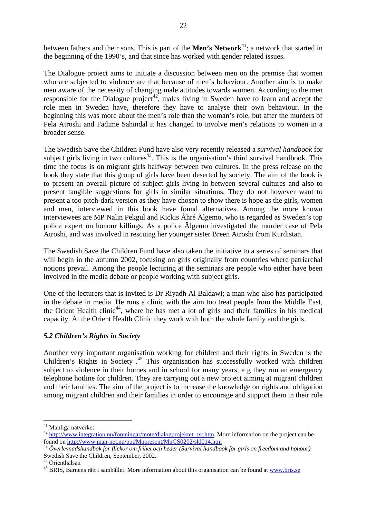between fathers and their sons. This is part of the **Men's Network**<sup>41</sup>; a network that started in the beginning of the 1990's, and that since has worked with gender related issues.

The Dialogue project aims to initiate a discussion between men on the premise that women who are subjected to violence are that because of men's behaviour. Another aim is to make men aware of the necessity of changing male attitudes towards women. According to the men responsible for the Dialogue project<sup>42</sup>, males living in Sweden have to learn and accept the role men in Sweden have, therefore they have to analyse their own behaviour. In the beginning this was more about the men's role than the woman's role, but after the murders of Pela Atroshi and Fadime Sahindal it has changed to involve men's relations to women in a broader sense.

The Swedish Save the Children Fund have also very recently released a *survival handbook* for subject girls living in two cultures<sup>43</sup>. This is the organisation's third survival handbook. This time the focus is on migrant girls halfway between two cultures. In the press release on the book they state that this group of girls have been deserted by society. The aim of the book is to present an overall picture of subject girls living in between several cultures and also to present tangible suggestions for girls in similar situations. They do not however want to present a too pitch-dark version as they have chosen to show there is hope as the girls, women and men, interviewed in this book have found alternatives. Among the more known interviewees are MP Nalin Pekgul and Kickis Åhré Älgemo, who is regarded as Sweden's top police expert on honour killings. As a police Älgemo investigated the murder case of Pela Atroshi, and was involved in rescuing her younger sister Breen Atroshi from Kurdistan.

The Swedish Save the Children Fund have also taken the initiative to a series of seminars that will begin in the autumn 2002, focusing on girls originally from countries where patriarchal notions prevail. Among the people lecturing at the seminars are people who either have been involved in the media debate or people working with subject girls.

One of the lecturers that is invited is Dr Riyadh Al Baldawi; a man who also has participated in the debate in media. He runs a clinic with the aim too treat people from the Middle East, the Orient Health clinic<sup>44</sup>, where he has met a lot of girls and their families in his medical capacity. At the Orient Health Clinic they work with both the whole family and the girls.

# *5.2 Children's Rights in Society*

Another very important organisation working for children and their rights in Sweden is the Children's Rights in Society . 45 This organisation has successfully worked with children subject to violence in their homes and in school for many years, e g they run an emergency telephone hotline for children. They are carrying out a new project aiming at migrant children and their families. The aim of the project is to increase the knowledge on rights and obligation among migrant children and their families in order to encourage and support them in their role

<sup>&</sup>lt;sup>41</sup> Manliga nätverket

<sup>&</sup>lt;sup>42</sup> http://www.integration.nu/foreningar/mote/dialogprojektet\_txt.htm. More information on the project can be found on http://www.man-net.nu/ppt/Mnpresent/MnGS0202/sld014.htm

<sup>&</sup>lt;sup>43</sup> Överlevnadshandbok för flickor om frihet och heder (Survival handbook for girls on freedom and honour) Swedish Save the Children, September, 2002.

<sup>44</sup> Orienthälsan

<sup>&</sup>lt;sup>45</sup> BRIS, Barnens rätt i samhället. More information about this organisation can be found at www.bris.se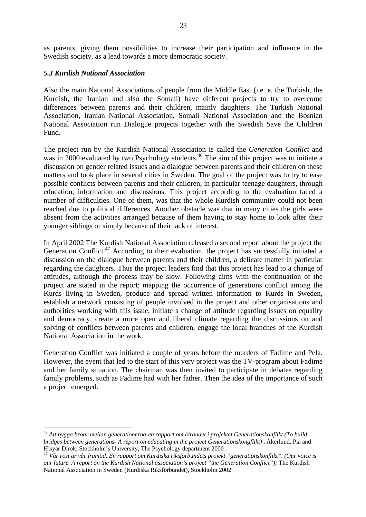as parents, giving them possibilities to increase their participation and influence in the Swedish society, as a lead towards a more democratic society.

#### *5.3 Kurdish National Association*

 $\overline{a}$ 

Also the main National Associations of people from the Middle East (i.e. e. the Turkish, the Kurdish, the Iranian and also the Somali) have different projects to try to overcome differences between parents and their children, mainly daughters. The Turkish National Association, Iranian National Association, Somali National Association and the Bosnian National Association run Dialogue projects together with the Swedish Save the Children Fund.

The project run by the Kurdish National Association is called the *Generation Conflict* and was in 2000 evaluated by two Psychology students.<sup>46</sup> The aim of this project was to initiate a discussion on gender related issues and a dialogue between parents and their children on these matters and took place in several cities in Sweden. The goal of the project was to try to ease possible conflicts between parents and their children, in particular teenage daughters, through education, information and discussions. This project according to the evaluation faced a number of difficulties. One of them, was that the whole Kurdish community could not been reached due to political differences. Another obstacle was that in many cities the girls were absent from the activities arranged because of them having to stay home to look after their younger siblings or simply because of their lack of interest.

In April 2002 The Kurdish National Association released a second report about the project the Generation Conflict.<sup>47</sup> According to their evaluation, the project has successfully initiated a discussion on the dialogue between parents and their children, a delicate matter in particular regarding the daughters. Thus the project leaders find that this project has lead to a change of attitudes, although the process may be slow. Following aims with the continuation of the project are stated in the report; mapping the occurrence of generations conflict among the Kurds living in Sweden, produce and spread written information to Kurds in Sweden, establish a network consisting of people involved in the project and other organisations and authorities working with this issue, initiate a change of attitude regarding issues on equality and democracy, create a more open and liberal climate regarding the discussions on and solving of conflicts between parents and children, engage the local branches of the Kurdish National Association in the work.

Generation Conflict was initiated a couple of years before the murders of Fadime and Pela. However, the event that led to the start of this very project was the TV-program about Fadime and her family situation. The chairman was then invited to participate in debates regarding family problems, such as Fadime had with her father. Then the idea of the importance of such a project emerged.

<sup>46</sup> *Att bygga broar mellan generationerna-en rapport om lärandet i projektet Generationskonflikt (To build bridges between generations- A report on educating in the project Generationskongflikt) ,* Åkerlund, Pia and Hisyar Dirok; Stockholm's University, The Psychology department 2000 .

<sup>47</sup> *Vår röst är vår framtid. En rapport om Kurdiska riksförbundets projekt "generationskonflikt". (Our voice is our future. A report on the Kurdish National association's project "the Generation Conflict");* The Kurdish National Association in Sweden (Kurdiska Riksförbundet), Stockholm 2002.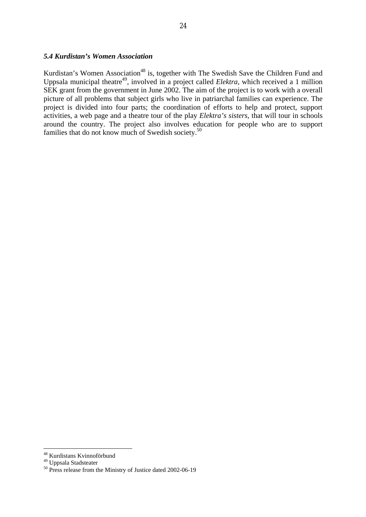#### *5.4 Kurdistan's Women Association*

Kurdistan's Women Association<sup>48</sup> is, together with The Swedish Save the Children Fund and Uppsala municipal theatre<sup>49</sup>, involved in a project called *Elektra*, which received a 1 million SEK grant from the government in June 2002. The aim of the project is to work with a overall picture of all problems that subject girls who live in patriarchal families can experience. The project is divided into four parts; the coordination of efforts to help and protect, support activities, a web page and a theatre tour of the play *Elektra's sisters*, that will tour in schools around the country. The project also involves education for people who are to support families that do not know much of Swedish society.<sup>50</sup>

<sup>48</sup> Kurdistans Kvinnoförbund

<sup>&</sup>lt;sup>49</sup> Uppsala Stadsteater

<sup>&</sup>lt;sup>50</sup> Press release from the Ministry of Justice dated 2002-06-19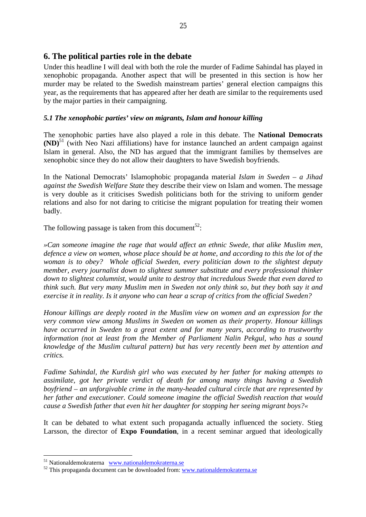# **6. The political parties role in the debate**

Under this headline I will deal with both the role the murder of Fadime Sahindal has played in xenophobic propaganda. Another aspect that will be presented in this section is how her murder may be related to the Swedish mainstream parties' general election campaigns this year, as the requirements that has appeared after her death are similar to the requirements used by the major parties in their campaigning.

#### *5.1 The xenophobic parties' view on migrants, Islam and honour killing*

The xenophobic parties have also played a role in this debate. The **National Democrats (ND)**51 (with Neo Nazi affiliations) have for instance launched an ardent campaign against Islam in general. Also, the ND has argued that the immigrant families by themselves are xenophobic since they do not allow their daughters to have Swedish boyfriends.

In the National Democrats' Islamophobic propaganda material *Islam in Sweden – a Jihad against the Swedish Welfare State* they describe their view on Islam and women. The message is very double as it criticises Swedish politicians both for the striving to uniform gender relations and also for not daring to criticise the migrant population for treating their women badly.

The following passage is taken from this document<sup>52</sup>:

*»Can someone imagine the rage that would affect an ethnic Swede, that alike Muslim men, defence a view on women, whose place should be at home, and according to this the lot of the woman is to obey? Whole official Sweden, every politician down to the slightest deputy member, every journalist down to slightest summer substitute and every professional thinker down to slightest columnist, would unite to destroy that incredulous Swede that even dared to think such. But very many Muslim men in Sweden not only think so, but they both say it and exercise it in reality. Is it anyone who can hear a scrap of critics from the official Sweden?* 

*Honour killings are deeply rooted in the Muslim view on women and an expression for the very common view among Muslims in Sweden on women as their property. Honour killings have occurred in Sweden to a great extent and for many years, according to trustworthy information (not at least from the Member of Parliament Nalin Pekgul, who has a sound knowledge of the Muslim cultural pattern) but has very recently been met by attention and critics.* 

*Fadime Sahindal, the Kurdish girl who was executed by her father for making attempts to assimilate, got her private verdict of death for among many things having a Swedish boyfriend – an unforgivable crime in the many-headed cultural circle that are represented by her father and executioner. Could someone imagine the official Swedish reaction that would cause a Swedish father that even hit her daughter for stopping her seeing migrant boys?«* 

It can be debated to what extent such propaganda actually influenced the society. Stieg Larsson, the director of **Expo Foundation**, in a recent seminar argued that ideologically

<sup>&</sup>lt;sup>51</sup> Nationaldemokraterna www.nationaldemokraterna.se

 $52$  This propaganda document can be downloaded from: www.nationaldemokraterna.se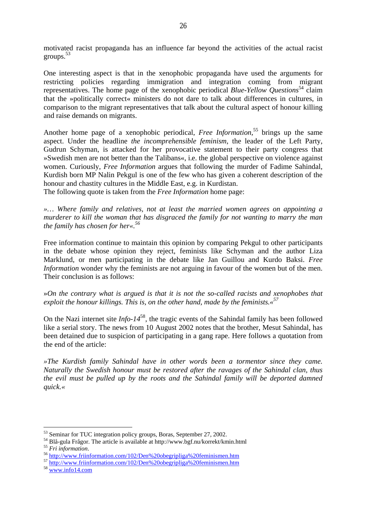motivated racist propaganda has an influence far beyond the activities of the actual racist groups.53

One interesting aspect is that in the xenophobic propaganda have used the arguments for restricting policies regarding immigration and integration coming from migrant representatives. The home page of the xenophobic periodical *Blue-Yellow Questions*54 claim that the »politically correct« ministers do not dare to talk about differences in cultures, in comparison to the migrant representatives that talk about the cultural aspect of honour killing and raise demands on migrants.

Another home page of a xenophobic periodical, *Free Information*, 55 brings up the same aspect. Under the headline *the incomprehensible feminism*, the leader of the Left Party, Gudrun Schyman, is attacked for her provocative statement to their party congress that »Swedish men are not better than the Talibans«, i.e. the global perspective on violence against women. Curiously, *Free Information* argues that following the murder of Fadime Sahindal, Kurdish born MP Nalin Pekgul is one of the few who has given a coherent description of the honour and chastity cultures in the Middle East, e.g. in Kurdistan.

The following quote is taken from the *Free Information* home page:

*»… Where family and relatives, not at least the married women agrees on appointing a murderer to kill the woman that has disgraced the family for not wanting to marry the man the family has chosen for her«.56*

Free information continue to maintain this opinion by comparing Pekgul to other participants in the debate whose opinion they reject, feminists like Schyman and the author Liza Marklund, or men participating in the debate like Jan Guillou and Kurdo Baksi. *Free Information* wonder why the feminists are not arguing in favour of the women but of the men. Their conclusion is as follows:

»*On the contrary what is argued is that it is not the so-called racists and xenophobes that exploit the honour killings. This is, on the other hand, made by the feminists.«57*

On the Nazi internet site *Info-14*58, the tragic events of the Sahindal family has been followed like a serial story. The news from 10 August 2002 notes that the brother, Mesut Sahindal, has been detained due to suspicion of participating in a gang rape. Here follows a quotation from the end of the article:

*»The Kurdish family Sahindal have in other words been a tormentor since they came. Naturally the Swedish honour must be restored after the ravages of the Sahindal clan, thus the evil must be pulled up by the roots and the Sahindal family will be deported damned quick.«* 

<sup>&</sup>lt;sup>53</sup> Seminar for TUC integration policy groups, Boras, September 27, 2002.

<sup>&</sup>lt;sup>54</sup> Blå-gula Frågor. The article is available at http://www.bgf.nu/korrekt/kmin.html<br><sup>55</sup> Fri information.<br><sup>56</sup> http://www.friinformation.com/102/Den%20obegripliga%20feminismen.htm<br><sup>57</sup> http://www.friinformation.com/102/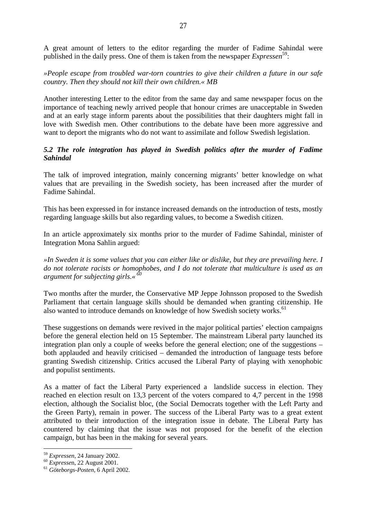A great amount of letters to the editor regarding the murder of Fadime Sahindal were published in the daily press. One of them is taken from the newspaper *Expressen*59:

*»People escape from troubled war-torn countries to give their children a future in our safe country. Then they should not kill their own children.« MB* 

Another interesting Letter to the editor from the same day and same newspaper focus on the importance of teaching newly arrived people that honour crimes are unacceptable in Sweden and at an early stage inform parents about the possibilities that their daughters might fall in love with Swedish men. Other contributions to the debate have been more aggressive and want to deport the migrants who do not want to assimilate and follow Swedish legislation.

# *5.2 The role integration has played in Swedish politics after the murder of Fadime Sahindal*

The talk of improved integration, mainly concerning migrants' better knowledge on what values that are prevailing in the Swedish society, has been increased after the murder of Fadime Sahindal.

This has been expressed in for instance increased demands on the introduction of tests, mostly regarding language skills but also regarding values, to become a Swedish citizen.

In an article approximately six months prior to the murder of Fadime Sahindal, minister of Integration Mona Sahlin argued:

*»In Sweden it is some values that you can either like or dislike, but they are prevailing here. I do not tolerate racists or homophobes, and I do not tolerate that multiculture is used as an argument for subjecting girls.« 60*

Two months after the murder, the Conservative MP Jeppe Johnsson proposed to the Swedish Parliament that certain language skills should be demanded when granting citizenship. He also wanted to introduce demands on knowledge of how Swedish society works.<sup>61</sup>

These suggestions on demands were revived in the major political parties' election campaigns before the general election held on 15 September. The mainstream Liberal party launched its integration plan only a couple of weeks before the general election; one of the suggestions – both applauded and heavily criticised – demanded the introduction of language tests before granting Swedish citizenship. Critics accused the Liberal Party of playing with xenophobic and populist sentiments.

As a matter of fact the Liberal Party experienced a landslide success in election. They reached en election result on 13,3 percent of the voters compared to 4,7 percent in the 1998 election, although the Socialist bloc, (the Social Democrats together with the Left Party and the Green Party), remain in power. The success of the Liberal Party was to a great extent attributed to their introduction of the integration issue in debate. The Liberal Party has countered by claiming that the issue was not proposed for the benefit of the election campaign, but has been in the making for several years.

<sup>59</sup> *Expressen*, 24 January 2002. 60 *Expresse*n, 22 August 2001. 61 *Göteborgs-Posten*, 6 April 2002.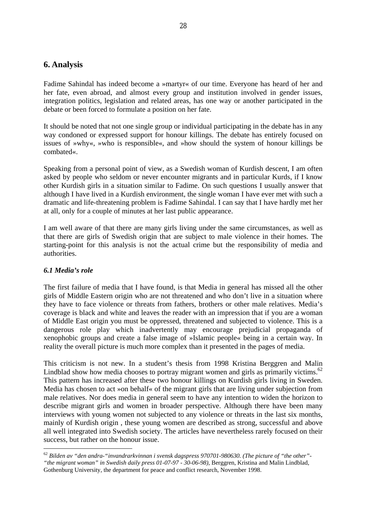# **6. Analysis**

Fadime Sahindal has indeed become a »martyr« of our time. Everyone has heard of her and her fate, even abroad, and almost every group and institution involved in gender issues, integration politics, legislation and related areas, has one way or another participated in the debate or been forced to formulate a position on her fate.

It should be noted that not one single group or individual participating in the debate has in any way condoned or expressed support for honour killings. The debate has entirely focused on issues of »why«, »who is responsible«, and »how should the system of honour killings be combated«.

Speaking from a personal point of view, as a Swedish woman of Kurdish descent, I am often asked by people who seldom or never encounter migrants and in particular Kurds, if I know other Kurdish girls in a situation similar to Fadime. On such questions I usually answer that although I have lived in a Kurdish environment, the single woman I have ever met with such a dramatic and life-threatening problem is Fadime Sahindal. I can say that I have hardly met her at all, only for a couple of minutes at her last public appearance.

I am well aware of that there are many girls living under the same circumstances, as well as that there are girls of Swedish origin that are subject to male violence in their homes. The starting-point for this analysis is not the actual crime but the responsibility of media and authorities.

# *6.1 Media's role*

 $\overline{a}$ 

The first failure of media that I have found, is that Media in general has missed all the other girls of Middle Eastern origin who are not threatened and who don't live in a situation where they have to face violence or threats from fathers, brothers or other male relatives. Media's coverage is black and white and leaves the reader with an impression that if you are a woman of Middle East origin you must be oppressed, threatened and subjected to violence. This is a dangerous role play which inadvertently may encourage prejudicial propaganda of xenophobic groups and create a false image of »Islamic people« being in a certain way. In reality the overall picture is much more complex than it presented in the pages of media.

This criticism is not new. In a student's thesis from 1998 Kristina Berggren and Malin Lindblad show how media chooses to portray migrant women and girls as primarily victims.<sup>62</sup> This pattern has increased after these two honour killings on Kurdish girls living in Sweden. Media has chosen to act »on behalf« of the migrant girls that are living under subjection from male relatives. Nor does media in general seem to have any intention to widen the horizon to describe migrant girls and women in broader perspective. Although there have been many interviews with young women not subjected to any violence or threats in the last six months, mainly of Kurdish origin , these young women are described as strong, successful and above all well integrated into Swedish society. The articles have nevertheless rarely focused on their success, but rather on the honour issue.

<sup>62</sup> *Bilden av "den andra-"invandrarkvinnan i svensk dagspress 970701-980630. (The picture of "the other"- "the migrant woman" in Swedish daily press 01-07-97 - 30-06-98),* Berggren, Kristina and Malin Lindblad, Gothenburg University, the department for peace and conflict research, November 1998.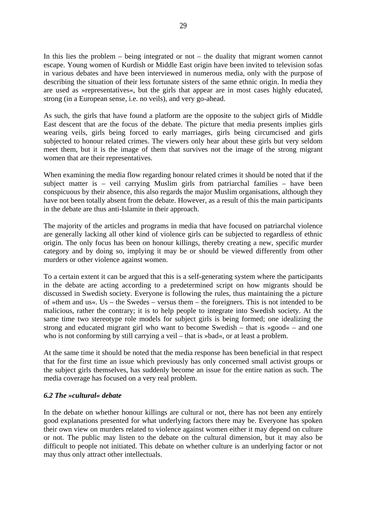In this lies the problem – being integrated or not – the duality that migrant women cannot escape. Young women of Kurdish or Middle East origin have been invited to television sofas in various debates and have been interviewed in numerous media, only with the purpose of describing the situation of their less fortunate sisters of the same ethnic origin. In media they are used as »representatives«, but the girls that appear are in most cases highly educated, strong (in a European sense, i.e. no veils), and very go-ahead.

As such, the girls that have found a platform are the opposite to the subject girls of Middle East descent that are the focus of the debate. The picture that media presents implies girls wearing veils, girls being forced to early marriages, girls being circumcised and girls subjected to honour related crimes. The viewers only hear about these girls but very seldom meet them, but it is the image of them that survives not the image of the strong migrant women that are their representatives.

When examining the media flow regarding honour related crimes it should be noted that if the subject matter is – veil carrying Muslim girls from patriarchal families – have been conspicuous by their absence, this also regards the major Muslim organisations, although they have not been totally absent from the debate. However, as a result of this the main participants in the debate are thus anti-Islamite in their approach.

The majority of the articles and programs in media that have focused on patriarchal violence are generally lacking all other kind of violence girls can be subjected to regardless of ethnic origin. The only focus has been on honour killings, thereby creating a new, specific murder category and by doing so, implying it may be or should be viewed differently from other murders or other violence against women.

To a certain extent it can be argued that this is a self-generating system where the participants in the debate are acting according to a predetermined script on how migrants should be discussed in Swedish society. Everyone is following the rules, thus maintaining the a picture of »them and us«. Us – the Swedes – versus them – the foreigners. This is not intended to be malicious, rather the contrary; it is to help people to integrate into Swedish society. At the same time two stereotype role models for subject girls is being formed; one idealizing the strong and educated migrant girl who want to become Swedish – that is »good« – and one who is not conforming by still carrying a veil – that is »bad«, or at least a problem.

At the same time it should be noted that the media response has been beneficial in that respect that for the first time an issue which previously has only concerned small activist groups or the subject girls themselves, has suddenly become an issue for the entire nation as such. The media coverage has focused on a very real problem.

#### *6.2 The »cultural« debate*

In the debate on whether honour killings are cultural or not, there has not been any entirely good explanations presented for what underlying factors there may be. Everyone has spoken their own view on murders related to violence against women either it may depend on culture or not. The public may listen to the debate on the cultural dimension, but it may also be difficult to people not initiated. This debate on whether culture is an underlying factor or not may thus only attract other intellectuals.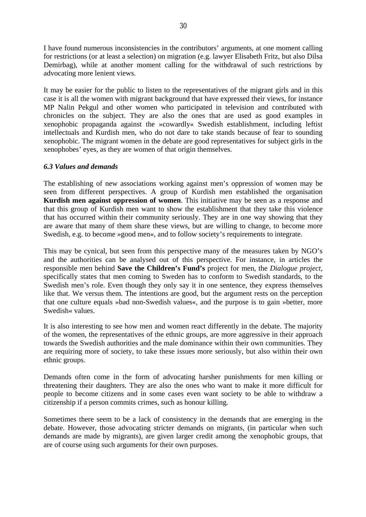I have found numerous inconsistencies in the contributors' arguments, at one moment calling for restrictions (or at least a selection) on migration (e.g. lawyer Elisabeth Fritz, but also Dilsa Demirbag), while at another moment calling for the withdrawal of such restrictions by advocating more lenient views.

It may be easier for the public to listen to the representatives of the migrant girls and in this case it is all the women with migrant background that have expressed their views, for instance MP Nalin Pekgul and other women who participated in television and contributed with chronicles on the subject. They are also the ones that are used as good examples in xenophobic propaganda against the »cowardly« Swedish establishment, including leftist intellectuals and Kurdish men, who do not dare to take stands because of fear to sounding xenophobic. The migrant women in the debate are good representatives for subject girls in the xenophobes' eyes, as they are women of that origin themselves.

#### *6.3 Values and demands*

The establishing of new associations working against men's oppression of women may be seen from different perspectives. A group of Kurdish men established the organisation **Kurdish men against oppression of women**. This initiative may be seen as a response and that this group of Kurdish men want to show the establishment that they take this violence that has occurred within their community seriously. They are in one way showing that they are aware that many of them share these views, but are willing to change, to become more Swedish, e.g. to become »good men«, and to follow society's requirements to integrate.

This may be cynical, but seen from this perspective many of the measures taken by NGO's and the authorities can be analysed out of this perspective. For instance, in articles the responsible men behind **Save the Children's Fund's** project for men, the *Dialogue project,* specifically states that men coming to Sweden has to conform to Swedish standards, to the Swedish men's role. Even though they only say it in one sentence, they express themselves like that. We versus them. The intentions are good, but the argument rests on the perception that one culture equals »bad non-Swedish values«, and the purpose is to gain »better, more Swedish« values.

It is also interesting to see how men and women react differently in the debate. The majority of the women, the representatives of the ethnic groups, are more aggressive in their approach towards the Swedish authorities and the male dominance within their own communities. They are requiring more of society, to take these issues more seriously, but also within their own ethnic groups.

Demands often come in the form of advocating harsher punishments for men killing or threatening their daughters. They are also the ones who want to make it more difficult for people to become citizens and in some cases even want society to be able to withdraw a citizenship if a person commits crimes, such as honour killing.

Sometimes there seem to be a lack of consistency in the demands that are emerging in the debate. However, those advocating stricter demands on migrants, (in particular when such demands are made by migrants), are given larger credit among the xenophobic groups, that are of course using such arguments for their own purposes.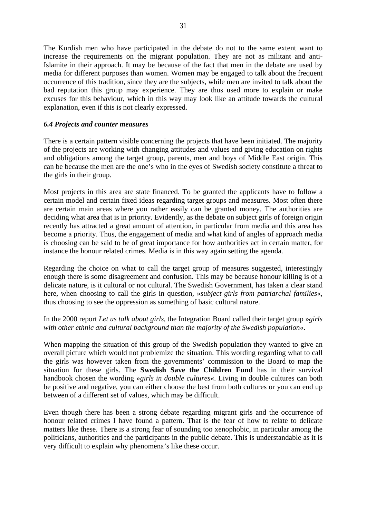The Kurdish men who have participated in the debate do not to the same extent want to increase the requirements on the migrant population. They are not as militant and anti-Islamite in their approach. It may be because of the fact that men in the debate are used by media for different purposes than women. Women may be engaged to talk about the frequent occurrence of this tradition, since they are the subjects, while men are invited to talk about the bad reputation this group may experience. They are thus used more to explain or make excuses for this behaviour, which in this way may look like an attitude towards the cultural explanation, even if this is not clearly expressed.

#### *6.4 Projects and counter measures*

There is a certain pattern visible concerning the projects that have been initiated. The majority of the projects are working with changing attitudes and values and giving education on rights and obligations among the target group, parents, men and boys of Middle East origin. This can be because the men are the one's who in the eyes of Swedish society constitute a threat to the girls in their group.

Most projects in this area are state financed. To be granted the applicants have to follow a certain model and certain fixed ideas regarding target groups and measures. Most often there are certain main areas where you rather easily can be granted money. The authorities are deciding what area that is in priority. Evidently, as the debate on subject girls of foreign origin recently has attracted a great amount of attention, in particular from media and this area has become a priority. Thus, the engagement of media and what kind of angles of approach media is choosing can be said to be of great importance for how authorities act in certain matter, for instance the honour related crimes. Media is in this way again setting the agenda.

Regarding the choice on what to call the target group of measures suggested, interestingly enough there is some disagreement and confusion. This may be because honour killing is of a delicate nature, is it cultural or not cultural. The Swedish Government, has taken a clear stand here, when choosing to call the girls in question, »*subject girls from patriarchal families*«, thus choosing to see the oppression as something of basic cultural nature.

#### In the 2000 report *Let us talk about girls*, the Integration Board called their target group »*girls with other ethnic and cultural background than the majority of the Swedish population*«.

When mapping the situation of this group of the Swedish population they wanted to give an overall picture which would not problemize the situation. This wording regarding what to call the girls was however taken from the governments' commission to the Board to map the situation for these girls. The **Swedish Save the Children Fund** has in their survival handbook chosen the wording »*girls in double cultures*«. Living in double cultures can both be positive and negative, you can either choose the best from both cultures or you can end up between of a different set of values, which may be difficult.

Even though there has been a strong debate regarding migrant girls and the occurrence of honour related crimes I have found a pattern. That is the fear of how to relate to delicate matters like these. There is a strong fear of sounding too xenophobic, in particular among the politicians, authorities and the participants in the public debate. This is understandable as it is very difficult to explain why phenomena's like these occur.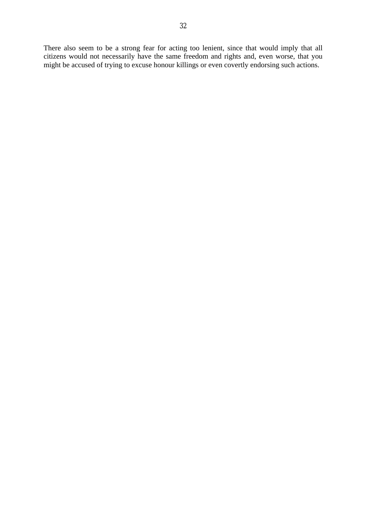There also seem to be a strong fear for acting too lenient, since that would imply that all citizens would not necessarily have the same freedom and rights and, even worse, that you might be accused of trying to excuse honour killings or even covertly endorsing such actions.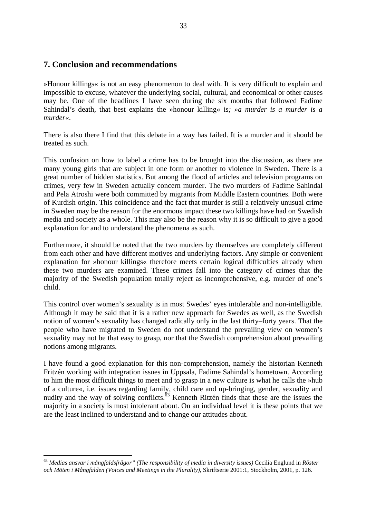# **7. Conclusion and recommendations**

»Honour killings« is not an easy phenomenon to deal with. It is very difficult to explain and impossible to excuse, whatever the underlying social, cultural, and economical or other causes may be. One of the headlines I have seen during the six months that followed Fadime Sahindal's death, that best explains the »honour killing« is*; »a murder is a murder is a murder«*.

There is also there I find that this debate in a way has failed. It is a murder and it should be treated as such.

This confusion on how to label a crime has to be brought into the discussion, as there are many young girls that are subject in one form or another to violence in Sweden. There is a great number of hidden statistics. But among the flood of articles and television programs on crimes, very few in Sweden actually concern murder. The two murders of Fadime Sahindal and Pela Atroshi were both committed by migrants from Middle Eastern countries. Both were of Kurdish origin. This coincidence and the fact that murder is still a relatively unusual crime in Sweden may be the reason for the enormous impact these two killings have had on Swedish media and society as a whole. This may also be the reason why it is so difficult to give a good explanation for and to understand the phenomena as such.

Furthermore, it should be noted that the two murders by themselves are completely different from each other and have different motives and underlying factors. Any simple or convenient explanation for »honour killings« therefore meets certain logical difficulties already when these two murders are examined. These crimes fall into the category of crimes that the majority of the Swedish population totally reject as incomprehensive, e.g. murder of one's child.

This control over women's sexuality is in most Swedes' eyes intolerable and non-intelligible. Although it may be said that it is a rather new approach for Swedes as well, as the Swedish notion of women's sexuality has changed radically only in the last thirty–forty years. That the people who have migrated to Sweden do not understand the prevailing view on women's sexuality may not be that easy to grasp, nor that the Swedish comprehension about prevailing notions among migrants.

I have found a good explanation for this non-comprehension, namely the historian Kenneth Fritzén working with integration issues in Uppsala, Fadime Sahindal's hometown. According to him the most difficult things to meet and to grasp in a new culture is what he calls the »hub of a culture«, i.e. issues regarding family, child care and up-bringing, gender, sexuality and nudity and the way of solving conflicts.<sup>63</sup> Kenneth Ritzén finds that these are the issues the majority in a society is most intolerant about. On an individual level it is these points that we are the least inclined to understand and to change our attitudes about.

<sup>63</sup> *Medias ansvar i mångfaldsfrågor" (The responsibility of media in diversity issues)* Cecilia Englund in *Röster och Möten i Mångfalden (Voices and Meetings in the Plurality)*, Skriftserie 2001:1, Stockholm, 2001, p. 126.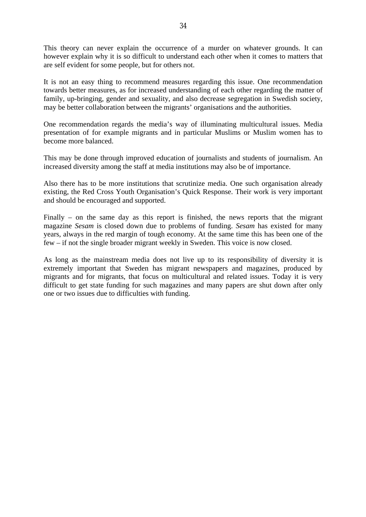This theory can never explain the occurrence of a murder on whatever grounds. It can however explain why it is so difficult to understand each other when it comes to matters that are self evident for some people, but for others not.

It is not an easy thing to recommend measures regarding this issue. One recommendation towards better measures, as for increased understanding of each other regarding the matter of family, up-bringing, gender and sexuality, and also decrease segregation in Swedish society, may be better collaboration between the migrants' organisations and the authorities.

One recommendation regards the media's way of illuminating multicultural issues. Media presentation of for example migrants and in particular Muslims or Muslim women has to become more balanced.

This may be done through improved education of journalists and students of journalism. An increased diversity among the staff at media institutions may also be of importance.

Also there has to be more institutions that scrutinize media. One such organisation already existing, the Red Cross Youth Organisation's Quick Response. Their work is very important and should be encouraged and supported.

Finally – on the same day as this report is finished, the news reports that the migrant magazine *Sesam* is closed down due to problems of funding. *Sesam* has existed for many years, always in the red margin of tough economy. At the same time this has been one of the few – if not the single broader migrant weekly in Sweden. This voice is now closed.

As long as the mainstream media does not live up to its responsibility of diversity it is extremely important that Sweden has migrant newspapers and magazines, produced by migrants and for migrants, that focus on multicultural and related issues. Today it is very difficult to get state funding for such magazines and many papers are shut down after only one or two issues due to difficulties with funding.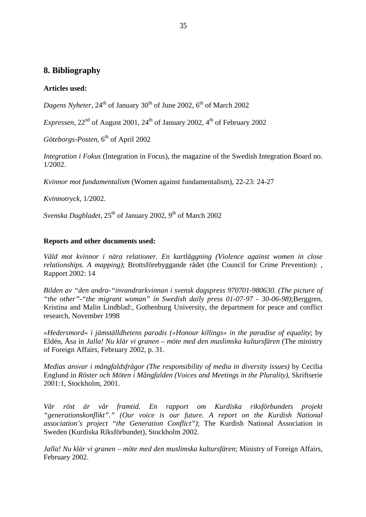# **8. Bibliography**

#### **Articles used:**

*Dagens Nyheter*,  $24<sup>th</sup>$  of January  $30<sup>th</sup>$  of June 2002,  $6<sup>th</sup>$  of March 2002

*Expressen*,  $22<sup>nd</sup>$  of August 2001,  $24<sup>th</sup>$  of January 2002,  $4<sup>th</sup>$  of February 2002

*Göteborgs-Posten*, 6<sup>th</sup> of April 2002

*Integration i Fokus* (Integration in Focus), the magazine of the Swedish Integration Board no. 1/2002.

*Kvinnor mot fundamentalism* (Women against fundamentalism), 22-23: 24-27

*Kvinnotryck*, 1/2002.

*Svenska Dagbladet*,  $25<sup>th</sup>$  of January 2002, 9<sup>th</sup> of March 2002

#### **Reports and other documents used:**

*Våld mot kvinnor i nära relationer. En kartläggning (Violence against women in close relationships. A mapping)*; Brottsförebyggande rådet (the Council for Crime Prevention): , Rapport 2002: 14

*Bilden av "den andra-"invandrarkvinnan i svensk dagspress 970701-980630. (The picture of "the other"-"the migrant woman" in Swedish daily press 01-07-97 - 30-06-98)*;Berggren, Kristina and Malin Lindblad:, Gothenburg University, the department for peace and conflict research, November 1998

*»Hedersmord« i jämställdhetens paradis (»Honour killings« in the paradise of equality*; by Eldén, Åsa in *Jalla! Nu klär vi granen – möte med den muslimska kultursfären* (The ministry of Foreign Affairs, February 2002, p. 31.

*Medias ansvar i mångfaldsfrågor (The responsibility of media in diversity issues)* by Cecilia Englund in *Röster och Möten i Mångfalden (Voices and Meetings in the Plurality)*, Skriftserie 2001:1, Stockholm, 2001.

*Vår röst är vår framtid. En rapport om Kurdiska riksförbundets projekt "generationskonflikt"." (Our voice is our future. A report on the Kurdish National association's project "the Generation Conflict")*; The Kurdish National Association in Sweden (Kurdiska Riksförbundet), Stockholm 2002.

*Jalla! Nu klär vi granen – möte med den muslimska kultursfären*; Ministry of Foreign Affairs, February 2002.